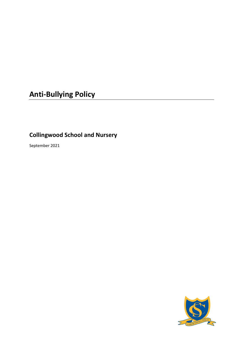# **Anti-Bullying Policy**

# **Collingwood School and Nursery**

September 2021

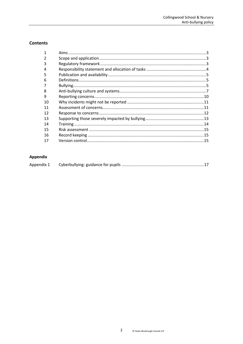# **Contents**

# Appendix

|--|--|--|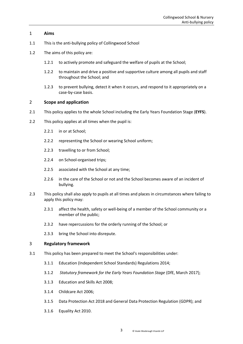#### <span id="page-2-0"></span>1 **Aims**

- 1.1 This is the anti-bullying policy of Collingwood School
- 1.2 The aims of this policy are:
	- 1.2.1 to actively promote and safeguard the welfare of pupils at the School;
	- 1.2.2 to maintain and drive a positive and supportive culture among all pupils and staff throughout the School; and
	- 1.2.3 to prevent bullying, detect it when it occurs, and respond to it appropriately on a case-by-case basis.

#### <span id="page-2-1"></span>2 **Scope and application**

- 2.1 This policy applies to the whole School including the Early Years Foundation Stage (**EYFS**).
- 2.2 This policy applies at all times when the pupil is:
	- 2.2.1 in or at School;
	- 2.2.2 representing the School or wearing School uniform;
	- 2.2.3 travelling to or from School;
	- 2.2.4 on School-organised trips;
	- 2.2.5 associated with the School at any time;
	- 2.2.6 in the care of the School or not and the School becomes aware of an incident of bullying.
- 2.3 This policy shall also apply to pupils at all times and places in circumstances where failing to apply this policy may:
	- 2.3.1 affect the health, safety or well-being of a member of the School community or a member of the public;
	- 2.3.2 have repercussions for the orderly running of the School; or
	- 2.3.3 bring the School into disrepute.

#### <span id="page-2-2"></span>3 **Regulatory framework**

- 3.1 This policy has been prepared to meet the School's responsibilities under:
	- 3.1.1 Education (Independent School Standards) Regulations 2014;
	- 3.1.2 *Statutory framework for the Early Years Foundation Stage* (DfE, March 2017);
	- 3.1.3 Education and Skills Act 2008;
	- 3.1.4 Childcare Act 2006;
	- 3.1.5 Data Protection Act 2018 and General Data Protection Regulation (GDPR); and
	- 3.1.6 Equality Act 2010.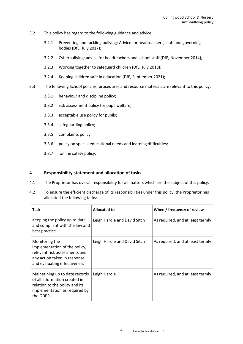- 3.2 This policy has regard to the following guidance and advice:
	- 3.2.1 [Preventing and tackling bullying: Advice for headteachers, staff and governing](https://www.gov.uk/government/uploads/system/uploads/attachment_data/file/623895/Preventing_and_tackling_bullying_advice.pdf)  [bodies \(DfE, July 2017\);](https://www.gov.uk/government/uploads/system/uploads/attachment_data/file/623895/Preventing_and_tackling_bullying_advice.pdf)
	- 3.2.2 [Cyberbullying: advice for headteachers and](https://www.gov.uk/government/uploads/system/uploads/attachment_data/file/374850/Cyberbullying_Advice_for_Headteachers_and_School_Staff_121114.pdf) school staff (DfE, November 2014);
	- 3.2.3 [Working together to safeguard children](https://assets.publishing.service.gov.uk/government/uploads/system/uploads/attachment_data/file/722305/Working_Together_to_Safeguard_Children_-_Guide.pdf) (DfE, July 2018);
	- 3.2.4 [Keeping children safe in education](https://www.gov.uk/government/publications/keeping-children-safe-in-education--2) (DfE, September 2021);
- 3.3 The following School policies, procedures and resource materials are relevant to this policy:
	- 3.3.1 behaviour and discipline policy;
	- 3.3.2 risk assessment policy for pupil welfare;
	- 3.3.3 acceptable use policy for pupils;
	- 3.3.4 safeguarding policy;
	- 3.3.5 complaints policy;
	- 3.3.6 policy on special educational needs and learning difficulties;
	- 3.3.7 online safety policy;

#### <span id="page-3-0"></span>4 **Responsibility statement and allocation of tasks**

- 4.1 The Proprietor has overall responsibility for all matters which are the subject of this policy.
- 4.2 To ensure the efficient discharge of its responsibilities under this policy, the Proprietor has allocated the following tasks:

| Task                                                                                                                                             | Allocated to                 | When / frequency of review       |
|--------------------------------------------------------------------------------------------------------------------------------------------------|------------------------------|----------------------------------|
| Keeping the policy up to date<br>and compliant with the law and<br>best practice                                                                 | Leigh Hardie and David Sitch | As required, and at least termly |
| Monitoring the<br>implementation of the policy,<br>relevant risk assessments and<br>any action taken in response<br>and evaluating effectiveness | Leigh Hardie and David Sitch | As required, and at least termly |
| Maintaining up to date records<br>of all information created in<br>relation to the policy and its<br>implementation as required by<br>the GDPR   | Leigh Hardie                 | As required, and at least termly |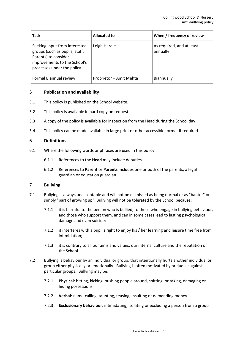| Task                                                                                                                                                  | <b>Allocated to</b>     | When / frequency of review            |
|-------------------------------------------------------------------------------------------------------------------------------------------------------|-------------------------|---------------------------------------|
| Seeking input from interested<br>groups (such as pupils, staff,<br>Parents) to consider<br>improvements to the School's<br>processes under the policy | Leigh Hardie            | As required, and at least<br>annually |
| Formal Biannual review                                                                                                                                | Proprietor - Amit Mehta | <b>Biannually</b>                     |

# <span id="page-4-0"></span>5 **Publication and availability**

- 5.1 This policy is published on the School website.
- 5.2 This policy is available in hard copy on request.
- 5.3 A copy of the policy is available for inspection from the Head during the School day.
- 5.4 This policy can be made available in large print or other accessible format if required.

#### <span id="page-4-1"></span>6 **Definitions**

- 6.1 Where the following words or phrases are used in this policy:
	- 6.1.1 References to the **Head** may include deputies.
	- 6.1.2 References to **Parent** or **Parents** includes one or both of the parents, a legal guardian or education guardian.

#### <span id="page-4-2"></span>7 **Bullying**

- 7.1 Bullying is always unacceptable and will not be dismissed as being normal or as "banter" or simply "part of growing up". Bullying will not be tolerated by the School because:
	- 7.1.1 it is harmful to the person who is bullied, to those who engage in bullying behaviour, and those who support them, and can in some cases lead to lasting psychological damage and even suicide;
	- 7.1.2 it interferes with a pupil's right to enjoy his / her learning and leisure time free from intimidation;
	- 7.1.3 it is contrary to all our aims and values, our internal culture and the reputation of the School.
- 7.2 Bullying is behaviour by an individual or group, that intentionally hurts another individual or group either physically or emotionally. Bullying is often motivated by prejudice against particular groups. Bullying may be:
	- 7.2.1 **Physical**: hitting, kicking, pushing people around, spitting, or taking, damaging or hiding possessions
	- 7.2.2 **Verbal**: name-calling, taunting, teasing, insulting or demanding money
	- 7.2.3 **Exclusionary behaviour**: intimidating, isolating or excluding a person from a group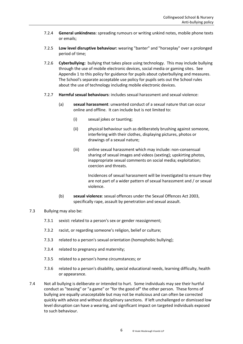- 7.2.4 **General unkindness**: spreading rumours or writing unkind notes, mobile phone texts or emails;
- 7.2.5 **Low level disruptive behaviour:** wearing "banter" and "horseplay" over a prolonged period of time;
- 7.2.6 **Cyberbullying:** bullying that takes place using technology. This may include bullying through the use of mobile electronic devices, social media or gaming sites. See [Appendix 1](#page-16-0) to this policy for guidance for pupils about cyberbullying and measures. The School's separate acceptable use policy for pupils sets out the School rules about the use of technology including mobile electronic devices.
- 7.2.7 **Harmful sexual behaviours**: includes sexual harassment and sexual violence:
	- (a) **sexual harassment**: unwanted conduct of a sexual nature that can occur online and offline. It can include but is not limited to:
		- (i) sexual jokes or taunting;
		- (ii) physical behaviour such as deliberately brushing against someone, interfering with their clothes, displaying pictures, photos or drawings of a sexual nature;
		- (iii) online sexual harassment which may include: non-consensual sharing of sexual images and videos (sexting); upskirting photos, inappropriate sexual comments on social media; exploitation; coercion and threats.

Incidences of sexual harassment will be investigated to ensure they are not part of a wider pattern of sexual harassment and / or sexual violence.

- (b) **sexual violence**: sexual offences under the Sexual Offences Act 2003, specifically rape, assault by penetration and sexual assault.
- 7.3 Bullying may also be:
	- 7.3.1 sexist: related to a person's sex or gender reassignment;
	- 7.3.2 racist, or regarding someone's religion, belief or culture;
	- 7.3.3 related to a person's sexual orientation (homophobic bullying);
	- 7.3.4 related to pregnancy and maternity;
	- 7.3.5 related to a person's home circumstances; or
	- 7.3.6 related to a person's disability, special educational needs, learning difficulty, health or appearance.
- 7.4 Not all bullying is deliberate or intended to hurt. Some individuals may see their hurtful conduct as "teasing" or "a game" or "for the good of" the other person. These forms of bullying are equally unacceptable but may not be malicious and can often be corrected quickly with advice and without disciplinary sanctions. If left unchallenged or dismissed low level disruption can have a wearing, and significant impact on targeted individuals exposed to such behaviour.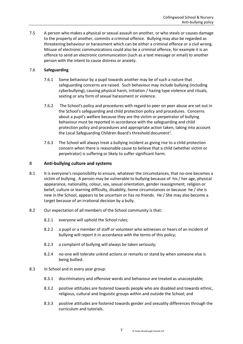7.5 A person who makes a physical or sexual assault on another, or who steals or causes damage to the property of another, commits a criminal offence. Bullying may also be regarded as threatening behaviour or harassment which can be either a criminal offence or a civil wrong. Misuse of electronic communications could also be a criminal offence, for example it is an offence to send an electronic communication (such as a text message or email) to another person with the intent to cause distress or anxiety.

# 7.6 **Safeguarding**

- 7.6.1 Some behaviour by a pupil towards another may be of such a nature that safeguarding concerns are raised. Such behaviour may include bullying (including cyberbullying), causing physical harm, initiation / hazing type violence and rituals, sexting or any form of sexual harassment or violence.
- 7.6.2 The School's policy and procedures with regard to peer on peer abuse are set out in the School's safeguarding and child protection policy and procedures. Concerns about a pupil's welfare because they are the victim or perpetrator of bullying behaviour must be reported in accordance with the safeguarding and child protection policy and procedures and appropriate action taken, taking into account the Local Safeguarding Children Board's threshold document<sup>1</sup>.
- 7.6.3 The School will always treat a bullying incident as giving rise to a child protection concern when there is reasonable cause to believe that a child (whether victim or perpetrator) is suffering or likely to suffer significant harm.

#### <span id="page-6-0"></span>8 **Anti-bullying culture and systems**

- 8.1 It is everyone's responsibility to ensure, whatever the circumstances, that no-one becomes a victim of bullying. A person may be vulnerable to bullying because of his / her age, physical appearance, nationality, colour, sex, sexual orientation, gender reassignment, religion or belief, culture or learning difficulty, disability, home circumstances or because he / she is new in the School, appears to be uncertain or has no friends. He / She may also become a target because of an irrational decision by a bully.
- 8.2 Our expectation of all members of the School community is that:
	- 8.2.1 everyone will uphold the School rules;
	- 8.2.2 a pupil or a member of staff or volunteer who witnesses or hears of an incident of bullying will report it in accordance with the terms of this policy;
	- 8.2.3 a complaint of bullying will always be taken seriously;
	- 8.2.4 no-one will tolerate unkind actions or remarks or stand by when someone else is being bullied.
- 8.3 In School and in every year group:
	- 8.3.1 discriminatory and offensive words and behaviour are treated as unacceptable;
	- 8.3.2 positive attitudes are fostered towards people who are disabled and towards ethnic, religious, cultural and linguistic groups within and outside the School; and
	- 8.3.3 positive attitudes are fostered towards gender and sexuality differences through the curriculum and tutorials.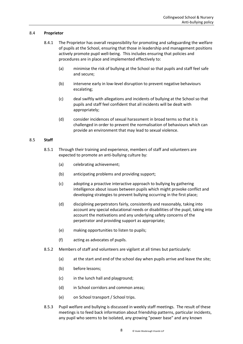#### 8.4 **Proprietor**

- 8.4.1 The Proprietor has overall responsibility for promoting and safeguarding the welfare of pupils at the School, ensuring that those in leadership and management positions actively promote pupil well-being. This includes ensuring that policies and procedures are in place and implemented effectively to:
	- (a) minimise the risk of bullying at the School so that pupils and staff feel safe and secure;
	- (b) intervene early in low-level disruption to prevent negative behaviours escalating;
	- (c) deal swiftly with allegations and incidents of bullying at the School so that pupils and staff feel confident that all incidents will be dealt with appropriately;
	- (d) consider incidences of sexual harassment in broad terms so that it is challenged in order to prevent the normalisation of behaviours which can provide an environment that may lead to sexual violence.

#### 8.5 **Staff**

- 8.5.1 Through their training and experience, members of staff and volunteers are expected to promote an anti-bullying culture by:
	- (a) celebrating achievement;
	- (b) anticipating problems and providing support;
	- (c) adopting a proactive interactive approach to bullying by gathering intelligence about issues between pupils which might provoke conflict and developing strategies to prevent bullying occurring in the first place;
	- (d) disciplining perpetrators fairly, consistently and reasonably, taking into account any special educational needs or disabilities of the pupil, taking into account the motivations and any underlying safety concerns of the perpetrator and providing support as appropriate;
	- (e) making opportunities to listen to pupils;
	- (f) acting as advocates of pupils.
- 8.5.2 Members of staff and volunteers are vigilant at all times but particularly:
	- (a) at the start and end of the school day when pupils arrive and leave the site;
	- (b) before lessons;
	- (c) in the lunch hall and playground;
	- (d) in School corridors and common areas;
	- (e) on School transport / School trips.
- 8.5.3 Pupil welfare and bullying is discussed in weekly staff meetings. The result of these meetings is to feed back information about friendship patterns, particular incidents, any pupil who seems to be isolated, any growing "power base" and any known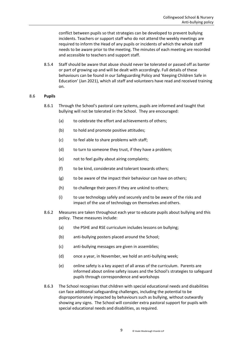conflict between pupils so that strategies can be developed to prevent bullying incidents. Teachers or support staff who do not attend the weekly meetings are required to inform the Head of any pupils or incidents of which the whole staff needs to be aware prior to the meeting. The minutes of each meeting are recorded and accessible to teachers and support staff.

8.5.4 Staff should be aware that abuse should never be tolerated or passed off as banter or part of growing up and will be dealt with accordingly. Full details of these behaviours can be found in our Safeguarding Policy and 'Keeping Children Safe in Education' (Jan 2021), which all staff and volunteers have read and received training on.

#### 8.6 **Pupils**

- 8.6.1 Through the School's pastoral care systems, pupils are informed and taught that bullying will not be tolerated in the School. They are encouraged:
	- (a) to celebrate the effort and achievements of others;
	- (b) to hold and promote positive attitudes;
	- (c) to feel able to share problems with staff;
	- (d) to turn to someone they trust, if they have a problem;
	- (e) not to feel guilty about airing complaints;
	- (f) to be kind, considerate and tolerant towards others;
	- (g) to be aware of the impact their behaviour can have on others;
	- (h) to challenge their peers if they are unkind to others;
	- (i) to use technology safely and securely and to be aware of the risks and impact of the use of technology on themselves and others.
- 8.6.2 Measures are taken throughout each year to educate pupils about bullying and this policy. These measures include:
	- (a) the PSHE and RSE curriculum includes lessons on bullying;
	- (b) anti-bullying posters placed around the School;
	- (c) anti-bullying messages are given in assemblies;
	- (d) once a year, in November, we hold an anti-bullying week;
	- (e) online safety is a key aspect of all areas of the curriculum. Parents are informed about online safety issues and the School's strategies to safeguard pupils through correspondence and workshops
- 8.6.3 The School recognises that children with special educational needs and disabilities can face additional safeguarding challenges, including the potential to be disproportionately impacted by behaviours such as bullying, without outwardly showing any signs. The School will consider extra pastoral support for pupils with special educational needs and disabilities, as required.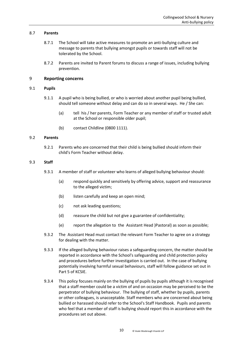#### 8.7 **Parents**

- 8.7.1 The School will take active measures to promote an anti-bullying culture and message to parents that bullying amongst pupils or towards staff will not be tolerated by the School.
- 8.7.2 Parents are invited to Parent forums to discuss a range of issues, including bullying prevention.

#### <span id="page-9-0"></span>9 **Reporting concerns**

#### 9.1 **Pupils**

- 9.1.1 A pupil who is being bullied, or who is worried about another pupil being bullied, should tell someone without delay and can do so in several ways. He / She can:
	- (a) tell his / her parents, Form Teacher or any member of staff or trusted adult at the School or responsible older pupil;
	- (b) contact Childline (0800 1111).

#### 9.2 **Parents**

9.2.1 Parents who are concerned that their child is being bullied should inform their child's Form Teacher without delay.

#### 9.3 **Staff**

- 9.3.1 A member of staff or volunteer who learns of alleged bullying behaviour should:
	- (a) respond quickly and sensitively by offering advice, support and reassurance to the alleged victim;
	- (b) listen carefully and keep an open mind;
	- (c) not ask leading questions;
	- (d) reassure the child but not give a guarantee of confidentiality;
	- (e) report the allegation to the Assistant Head )Pastoral) as soon as possible;
- 9.3.2 The Assistant Head must contact the relevant Form Teacher to agree on a strategy for dealing with the matter.
- 9.3.3 If the alleged bullying behaviour raises a safeguarding concern, the matter should be reported in accordance with the School's safeguarding and child protection policy and procedures before further investigation is carried out. In the case of bullying potentially involving harmful sexual behaviours, staff will follow guidance set out in Part 5 of KCSIE.
- 9.3.4 This policy focuses mainly on the bullying of pupils by pupils although it is recognised that a staff member could be a victim of and on occasion may be perceived to be the perpetrator of bullying behaviour. The bullying of staff, whether by pupils, parents or other colleagues, is unacceptable. Staff members who are concerned about being bullied or harassed should refer to the School's Staff Handbook. Pupils and parents who feel that a member of staff is bullying should report this in accordance with the procedures set out above.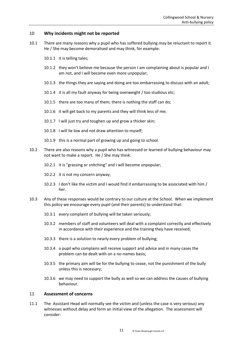#### <span id="page-10-0"></span>10 **Why incidents might not be reported**

- 10.1 There are many reasons why a pupil who has suffered bullying may be reluctant to report it. He / She may become demoralised and may think, for example:
	- 10.1.1 it is telling tales;
	- 10.1.2 they won't believe me because the person I am complaining about is popular and I am not, and I will become even more unpopular;
	- 10.1.3 the things they are saying and doing are too embarrassing to discuss with an adult;
	- 10.1.4 it is all my fault anyway for being overweight / too studious etc;
	- 10.1.5 there are too many of them; there is nothing the staff can do;
	- 10.1.6 it will get back to my parents and they will think less of me;
	- 10.1.7 I will just try and toughen up and grow a thicker skin;
	- 10.1.8 I will lie low and not draw attention to myself;
	- 10.1.9 this is a normal part of growing up and going to school.
- 10.2 There are also reasons why a pupil who has witnessed or learned of bullying behaviour may not want to make a report. He / She may think:
	- 10.2.1 it is "grassing or snitching" and I will become unpopular;
	- 10.2.2 it is not my concern anyway;
	- 10.2.3 I don't like the victim and I would find it embarrassing to be associated with him / her.
- 10.3 Any of these responses would be contrary to our culture at the School. When we implement this policy we encourage every pupil (and their parents) to understand that:
	- 10.3.1 every complaint of bullying will be taken seriously;
	- 10.3.2 members of staff and volunteers will deal with a complaint correctly and effectively in accordance with their experience and the training they have received;
	- 10.3.3 there is a solution to nearly every problem of bullying;
	- 10.3.4 a pupil who complains will receive support and advice and in many cases the problem can be dealt with on a no-names basis;
	- 10.3.5 the primary aim will be for the bullying to cease, not the punishment of the bully unless this is necessary;
	- 10.3.6 we may need to support the bully as well so we can address the causes of bullying behaviour.

#### <span id="page-10-1"></span>11 **Assessment of concerns**

11.1 The Assistant Head will normally see the victim and (unless the case is very serious) any witnesses without delay and form an initial view of the allegation. The assessment will consider: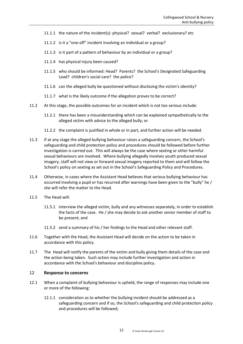- 11.1.1 the nature of the incident(s): physical? sexual? verbal? exclusionary? etc
- 11.1.2 is it a "one-off" incident involving an individual or a group?
- 11.1.3 is it part of a pattern of behaviour by an individual or a group?
- 11.1.4 has physical injury been caused?
- 11.1.5 who should be informed: Head? Parents? the School's Designated Safeguarding Lead? children's social care? the police?
- 11.1.6 can the alleged bully be questioned without disclosing the victim's identity?
- 11.1.7 what is the likely outcome if the allegation proves to be correct?
- 11.2 At this stage, the possible outcomes for an incident which is not too serious include:
	- 11.2.1 there has been a misunderstanding which can be explained sympathetically to the alleged victim with advice to the alleged bully; or
	- 11.2.2 the complaint is justified in whole or in part, and further action will be needed.
- 11.3 If at any stage the alleged bullying behaviour raises a safeguarding concern, the School's safeguarding and child protection policy and procedures should be followed before further investigation is carried out. This will always be the case where sexting or other harmful sexual behaviours are involved. Where bullying allegedly involves youth produced sexual imagery, staff will not view or forward sexual imagery reported to them and will follow the School's policy on sexting as set out in the School's Safeguarding Policy and Procedures.
- 11.4 Otherwise, in cases where the Assistant Head believes that serious bullying behaviour has occurred involving a pupil or has recurred after warnings have been given to the "bully" he / she will refer the matter to the Head.
- 11.5 The Head will:
	- 11.5.1 interview the alleged victim, bully and any witnesses separately, in order to establish the facts of the case. He / she may decide to ask another senior member of staff to be present; and
	- 11.5.2 send a summary of his / her findings to the Head and other relevant staff.
- 11.6 Together with the Head, the Assistant Head will decide on the action to be taken in accordance with this policy.
- 11.7 The Head will notify the parents of the victim and bully giving them details of the case and the action being taken. Such action may include further investigation and action in accordance with the School's behaviour and discipline policy.

#### <span id="page-11-0"></span>12 **Response to concerns**

- 12.1 When a complaint of bullying behaviour is upheld, the range of responses may include one or more of the following:
	- 12.1.1 consideration as to whether the bullying incident should be addressed as a safeguarding concern and if so, the School's safeguarding and child protection policy and procedures will be followed;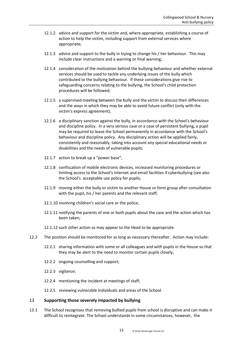- 12.1.2 advice and support for the victim and, where appropriate, establishing a course of action to help the victim, including support from external services where appropriate;
- 12.1.3 advice and support to the bully in trying to change his / her behaviour. This may include clear instructions and a warning or final warning;
- 12.1.4 consideration of the motivation behind the bullying behaviour and whether external services should be used to tackle any underlying issues of the bully which contributed to the bullying behaviour. If these considerations give rise to safeguarding concerns relating to the bullying, the School's child protection procedures will be followed;
- 12.1.5 a supervised meeting between the bully and the victim to discuss their differences and the ways in which they may be able to avoid future conflict (only with the victim's express agreement);
- 12.1.6 a disciplinary sanction against the bully, in accordance with the School's behaviour and discipline policy. In a very serious case or a case of persistent bullying, a pupil may be required to leave the School permanently in accordance with the School's behaviour and discipline policy. Any disciplinary action will be applied fairly, consistently and reasonably, taking into account any special educational needs or disabilities and the needs of vulnerable pupils;
- 12.1.7 action to break up a "power base";
- 12.1.8 confiscation of mobile electronic devices, increased monitoring procedures or limiting access to the School's internet and email facilities if cyberbullying (see also the School's acceptable use policy for pupils;
- 12.1.9 moving either the bully or victim to another House or form group after consultation with the pupil, his / her parents and the relevant staff;
- 12.1.10 involving children's social care or the police;
- 12.1.11 notifying the parents of one or both pupils about the case and the action which has been taken;
- 12.1.12 such other action as may appear to the Head to be appropriate.
- 12.2 The position should be monitored for as long as necessary thereafter. Action may include:
	- 12.2.1 sharing information with some or all colleagues and with pupils in the House so that they may be alert to the need to monitor certain pupils closely;
	- 12.2.2 ongoing counselling and support;
	- 12.2.3 vigilance;
	- 12.2.4 mentioning the incident at meetings of staff;
	- 12.2.5 reviewing vulnerable individuals and areas of the School.

# <span id="page-12-0"></span>13 **Supporting those severely impacted by bullying**

13.1 The School recognises that removing bullied pupils from school is disruptive and can make it difficult to reintegrate. The School understands in some circumstances, however, the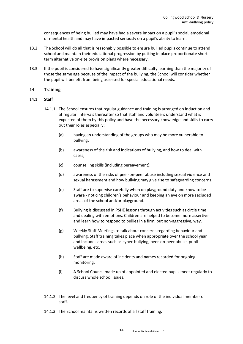consequences of being bullied may have had a severe impact on a pupil's social, emotional or mental health and may have impacted seriously on a pupil's ability to learn.

- 13.2 The School will do all that is reasonably possible to ensure bullied pupils continue to attend school and maintain their educational progression by putting in place proportionate short term alternative on-site provision plans where necessary.
- 13.3 If the pupil is considered to have significantly greater difficulty learning than the majority of those the same age because of the impact of the bullying, the School will consider whether the pupil will benefit from being assessed for special educational needs.

#### <span id="page-13-0"></span>14 **Training**

#### 14.1 **Staff**

- 14.1.1 The School ensures that regular guidance and training is arranged on induction and at regular intervals thereafter so that staff and volunteers understand what is expected of them by this policy and have the necessary knowledge and skills to carry out their roles especially:
	- (a) having an understanding of the groups who may be more vulnerable to bullying;
	- (b) awareness of the risk and indications of bullying, and how to deal with cases;
	- (c) counselling skills (including bereavement);
	- (d) awareness of the risks of peer-on-peer abuse including sexual violence and sexual harassment and how bullying may give rise to safeguarding concerns.
	- (e) Staff are to supervise carefully when on playground duty and know to be aware - noticing children's behaviour and keeping an eye on more secluded areas of the school and/or playground.
	- (f) Bullying is discussed in PSHE lessons through activities such as circle time and dealing with emotions. Children are helped to become more assertive and learn how to respond to bullies in a firm, but non-aggressive, way.
	- (g) Weekly Staff Meetings to talk about concerns regarding behaviour and bullying. Staff training takes place when appropriate over the school year and includes areas such as cyber-bullying, peer-on-peer abuse, pupil wellbeing, etc.
	- (h) Staff are made aware of incidents and names recorded for ongoing monitoring.
	- (i) A School Council made up of appointed and elected pupils meet regularly to discuss whole school issues.
- 14.1.2 The level and frequency of training depends on role of the individual member of staff.
- 14.1.3 The School maintains written records of all staff training.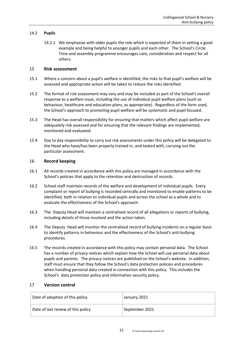#### 14.2 **Pupils**

14.2.1 We emphasise with older pupils the role which is expected of them in setting a good example and being helpful to younger pupils and each other. The School's Circle Time and assembly programme encourages care, consideration and respect for all others.

#### <span id="page-14-0"></span>15 **Risk assessment**

- 15.1 Where a concern about a pupil's welfare is identified, the risks to that pupil's welfare will be assessed and appropriate action will be taken to reduce the risks identified.
- 15.2 The format of risk assessment may vary and may be included as part of the School's overall response to a welfare issue, including the use of individual pupil welfare plans (such as behaviour, healthcare and education plans, as appropriate). Regardless of the form used, the School's approach to promoting pupil welfare will be systematic and pupil focused.
- 15.3 The Head has overall responsibility for ensuring that matters which affect pupil welfare are adequately risk assessed and for ensuring that the relevant findings are implemented, monitored and evaluated.
- 15.4 Day to day responsibility to carry out risk assessments under this policy will be delegated to the Head who have/has been properly trained in, and tasked with, carrying out the particular assessment.

#### <span id="page-14-1"></span>16 **Record keeping**

- 16.1 All records created in accordance with this policy are managed in accordance with the School's policies that apply to the retention and destruction of records.
- 16.2 School staff maintain records of the welfare and development of individual pupils. Every complaint or report of bullying is recorded centrally and monitored to enable patterns to be identified, both in relation to individual pupils and across the school as a whole and to evaluate the effectiveness of the School's approach.
- 16.3 The Deputy Head will maintain a centralised record of all allegations or reports of bullying, including details of those involved and the action taken.
- 16.4 The Deputy Head will monitor the centralised record of bullying incidents on a regular basis to identify patterns in behaviour and the effectiveness of the School's anti-bullying procedures.
- 16.5 The records created in accordance with this policy may contain personal data. The School has a number of privacy notices which explain how the School will use personal data about pupils and parents. The privacy notices are published on the School's website. In addition, staff must ensure that they follow the School's data protection policies and procedures when handling personal data created in connection with this policy. This includes the School's data protection policy and information security policy.

# <span id="page-14-2"></span>17 **Version control**

| Date of adoption of this policy    | January 2021   |
|------------------------------------|----------------|
| Date of last review of this policy | September 2021 |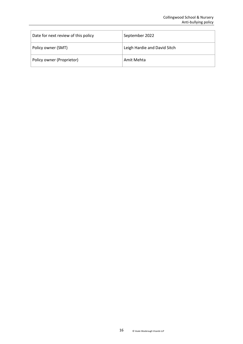| Date for next review of this policy | September 2022               |
|-------------------------------------|------------------------------|
| Policy owner (SMT)                  | Leigh Hardie and David Sitch |
| Policy owner (Proprietor)           | Amit Mehta                   |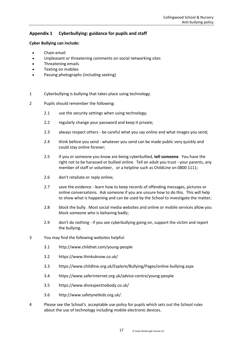# <span id="page-16-0"></span>**Appendix 1 Cyberbullying: guidance for pupils and staff**

#### **Cyber Bullying can include:**

- Chain email
- Unpleasant or threatening comments on social networking sites
- Threatening emails
- Texting on mobiles
- Passing photographs (including sexting)
- 1 Cyberbullying is bullying that takes place using technology.
- 2 Pupils should remember the following:
	- 2.1 use the security settings when using technology;
	- 2.2 regularly change your password and keep it private;
	- 2.3 always respect others be careful what you say online and what images you send;
	- 2.4 think before you send whatever you send can be made public very quickly and could stay online forever;
	- 2.5 if you or someone you know are being cyberbullied, **tell someone**. You have the right not to be harassed or bullied online. Tell an adult you trust - your parents, any member of staff or volunteer, or a helpline such as ChildLine on 0800 1111;
	- 2.6 don't retaliate or reply online;
	- 2.7 save the evidence learn how to keep records of offending messages, pictures or online conversations. Ask someone if you are unsure how to do this. This will help to show what is happening and can be used by the School to investigate the matter;
	- 2.8 block the bully. Most social media websites and online or mobile services allow you block someone who is behaving badly;
	- 2.9 don't do nothing if you see cyberbullying going on, support the victim and report the bullying.
- 3 You may find the following websites helpful:
	- 3.1 <http://www.childnet.com/young-people>
	- 3.2 <https://www.thinkuknow.co.uk/>
	- 3.3 <https://www.childline.org.uk/Explore/Bullying/Pages/online-bullying.aspx>
	- 3.4 <https://www.saferinternet.org.uk/advice-centre/young-people>
	- 3.5 <https://www.disrespectnobody.co.uk/>
	- 3.6 [http://www.safetynetkids.org.uk/.](http://www.safetynetkids.org.uk/)
- 4 Please see the School's acceptable use policy for pupils which sets out the School rules about the use of technology including mobile electronic devices.